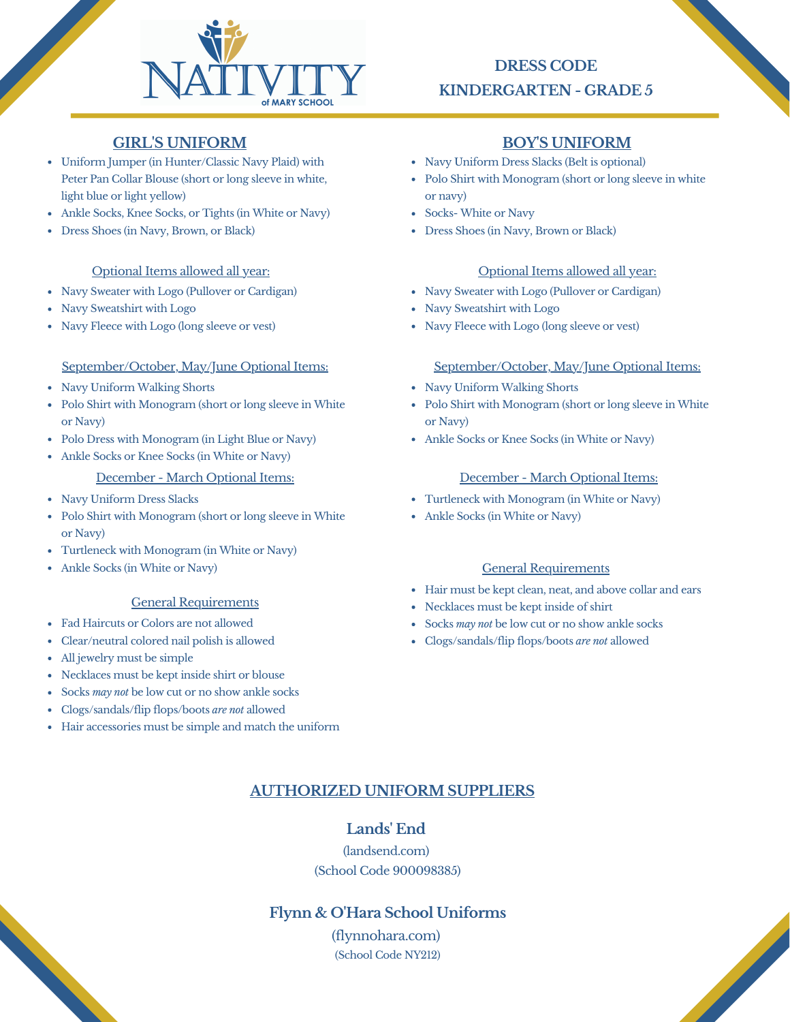

# **DRESS CODE KINDERGARTEN - GRADE 5**

# **GIRL'S UNIFORM BOY'S UNIFORM**

- Uniform Jumper (in Hunter/Classic Navy Plaid) with Peter Pan Collar Blouse (short or long sleeve in white, light blue or light yellow)
- Ankle Socks, Knee Socks, or Tights (in White or Navy)
- Dress Shoes (in Navy, Brown, or Black)

### Optional Items allowed all year:

- Navy Sweater with Logo (Pullover or Cardigan)
- Navy Sweatshirt with Logo
- Navy Fleece with Logo (long sleeve or vest)

#### September/October, May/June Optional Items: September/October, May/June Optional Items:

- Navy Uniform Walking Shorts
- Polo Shirt with Monogram (short or long sleeve in White or Navy)
- Polo Dress with Monogram (in Light Blue or Navy)
- Ankle Socks or Knee Socks (in White or Navy)

## December - March Optional Items:

- Navy Uniform Dress Slacks
- Polo Shirt with Monogram (short or long sleeve in White or Navy)
- Turtleneck with Monogram (in White or Navy)
- Ankle Socks (in White or Navy)

#### General Requirements

- Fad Haircuts or Colors are not allowed
- Clear/neutral colored nail polish is allowed
- All jewelry must be simple
- Necklaces must be kept inside shirt or blouse
- Socks *may not* be low cut or no show ankle socks
- Clogs/sandals/flip flops/boots *are not* allowed
- Hair accessories must be simple and match the uniform

- Navy Uniform Dress Slacks (Belt is optional)
- Polo Shirt with Monogram (short or long sleeve in white or navy)
- Socks- White or Navy
- Dress Shoes (in Navy, Brown or Black)

### Optional Items allowed all year:

- Navy Sweater with Logo (Pullover or Cardigan)
- Navy Sweatshirt with Logo
- Navy Fleece with Logo (long sleeve or vest)

- Navy Uniform Walking Shorts
- Polo Shirt with Monogram (short or long sleeve in White or Navy)
- Ankle Socks or Knee Socks (in White or Navy)

#### December - March Optional Items:

- Turtleneck with Monogram (in White or Navy)
- Ankle Socks (in White or Navy)

## General Requirements

Hair must be kept clean, neat, and above collar and ears

**Contract Contract Contract Contract Contract Contract Contract Contract Contract Contract Contract Contract Contract Contract Contract Contract Contract Contract Contract Contract Contract Contract Contract Contract Contr** 

- Necklaces must be kept inside of shirt
- Socks *may not* be low cut or no show ankle socks
- Clogs/sandals/flip flops/boots *are not* allowed

# **AUTHORIZED UNIFORM SUPPLIERS**

## **Lands' End**

(landsend.com) (School Code 900098385)

## **Flynn & O'Hara School Uniforms**

(flynnohara.com) (School Code NY212)